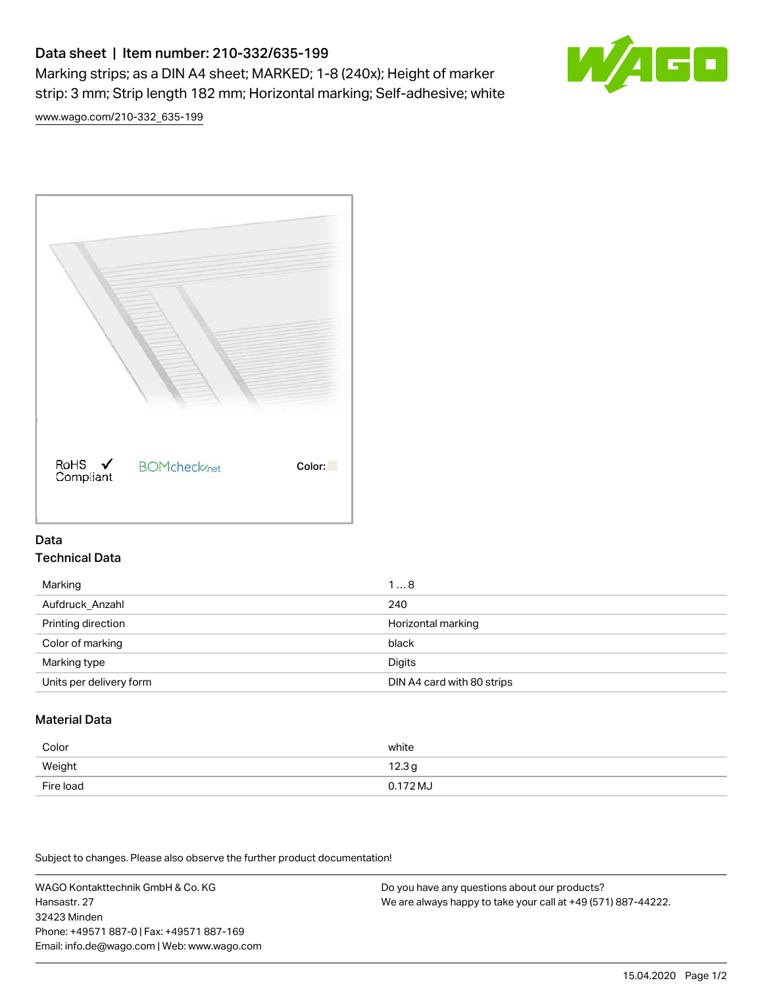# Data sheet | Item number: 210-332/635-199

Marking strips; as a DIN A4 sheet; MARKED; 1-8 (240x); Height of marker strip: 3 mm; Strip length 182 mm; Horizontal marking; Self-adhesive; white



[www.wago.com/210-332\\_635-199](http://www.wago.com/210-332_635-199)



## Data Technical Data

| Marking                 | 18                         |
|-------------------------|----------------------------|
| Aufdruck Anzahl         | 240                        |
| Printing direction      | Horizontal marking         |
| Color of marking        | black                      |
| Marking type            | Digits                     |
| Units per delivery form | DIN A4 card with 80 strips |

# Material Data

| Color     | white    |
|-----------|----------|
| Weight    | 12.3g    |
| Fire load | 0.172 MJ |

Subject to changes. Please also observe the further product documentation!

WAGO Kontakttechnik GmbH & Co. KG Hansastr. 27 32423 Minden Phone: +49571 887-0 | Fax: +49571 887-169 Email: info.de@wago.com | Web: www.wago.com Do you have any questions about our products? We are always happy to take your call at +49 (571) 887-44222.